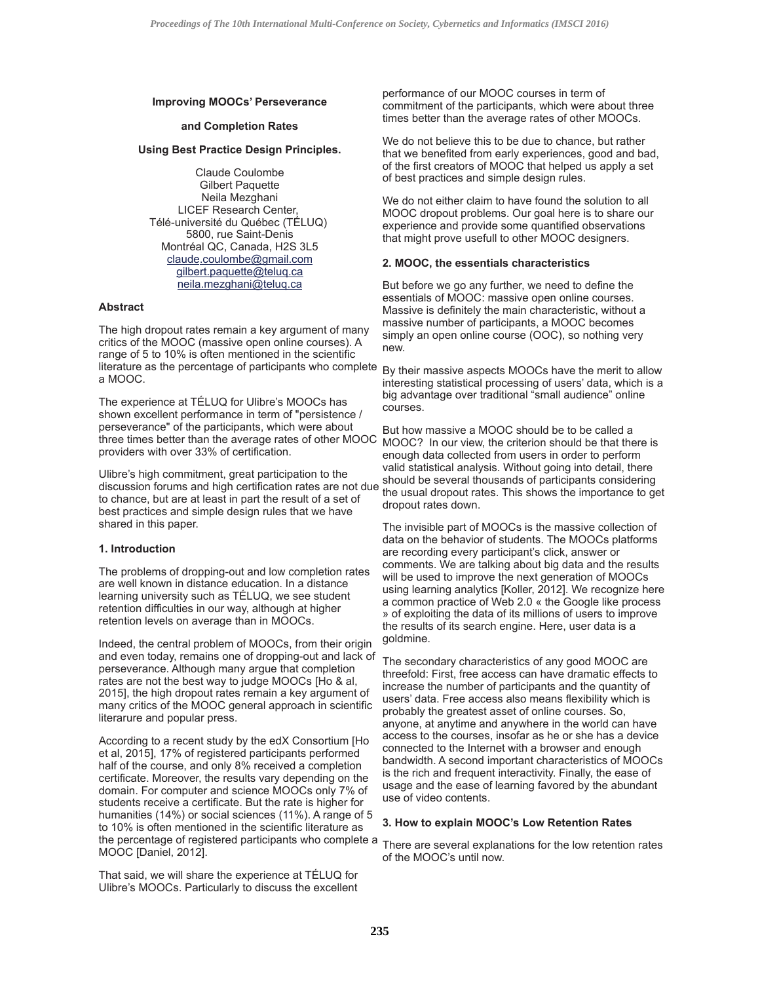#### **Improving MOOCs' Perseverance**

#### and Completion Rates

#### **Using Best Practice Design Principles.**

Claude Coulombe **Gilbert Paquette** Neila Mezghani **LICEF Research Center,** Télé-université du Québec (TÉLUQ) 5800, rue Saint-Denis Montréal QC, Canada, H2S 3L5 claude.coulombe@gmail.com gilbert.paquette@teluq.ca neila.mezghani@teluq.ca

#### **Abstract**

The high dropout rates remain a key argument of many critics of the MOOC (massive open online courses). A range of 5 to 10% is often mentioned in the scientific literature as the percentage of participants who complete a MOOC.

The experience at TÉLUQ for Ulibre's MOOCs has shown excellent performance in term of "persistence / perseverance" of the participants, which were about three times better than the average rates of other MOOC providers with over 33% of certification.

Ulibre's high commitment, great participation to the discussion forums and high certification rates are not due to chance, but are at least in part the result of a set of best practices and simple design rules that we have shared in this paper.

#### 1. Introduction

The problems of dropping-out and low completion rates are well known in distance education. In a distance learning university such as TÉLUQ, we see student retention difficulties in our way, although at higher retention levels on average than in MOOCs.

Indeed, the central problem of MOOCs, from their origin and even today, remains one of dropping-out and lack of perseverance. Although many argue that completion rates are not the best way to judge MOOCs [Ho & al, 2015], the high dropout rates remain a key argument of many critics of the MOOC general approach in scientific literarure and popular press.

According to a recent study by the edX Consortium [Ho et al, 2015], 17% of registered participants performed half of the course, and only 8% received a completion certificate. Moreover, the results vary depending on the domain. For computer and science MOOCs only 7% of students receive a certificate. But the rate is higher for humanities (14%) or social sciences (11%). A range of 5 to 10% is often mentioned in the scientific literature as the percentage of registered participants who complete a MOOC [Daniel, 2012].

That said, we will share the experience at TÉLUQ for Ulibre's MOOCs. Particularly to discuss the excellent performance of our MOOC courses in term of commitment of the participants, which were about three times better than the average rates of other MOOCs.

We do not believe this to be due to chance, but rather that we benefited from early experiences, good and bad, of the first creators of MOOC that helped us apply a set of best practices and simple design rules.

We do not either claim to have found the solution to all MOOC dropout problems. Our goal here is to share our experience and provide some quantified observations that might prove usefull to other MOOC designers.

### 2. MOOC, the essentials characteristics

But before we go any further, we need to define the essentials of MOOC: massive open online courses. Massive is definitely the main characteristic, without a massive number of participants, a MOOC becomes simply an open online course (OOC), so nothing very new.

By their massive aspects MOOCs have the merit to allow interesting statistical processing of users' data, which is a big advantage over traditional "small audience" online courses.

But how massive a MOOC should be to be called a MOOC? In our view, the criterion should be that there is enough data collected from users in order to perform valid statistical analysis. Without going into detail, there should be several thousands of participants considering the usual dropout rates. This shows the importance to get dropout rates down.

The invisible part of MOOCs is the massive collection of data on the behavior of students. The MOOCs platforms are recording every participant's click, answer or comments. We are talking about big data and the results will be used to improve the next generation of MOOCs using learning analytics [Koller, 2012]. We recognize here a common practice of Web 2.0 « the Google like process » of exploiting the data of its millions of users to improve the results of its search engine. Here, user data is a goldmine.

The secondary characteristics of any good MOOC are threefold: First, free access can have dramatic effects to increase the number of participants and the quantity of users' data. Free access also means flexibility which is probably the greatest asset of online courses. So, anyone, at anytime and anywhere in the world can have access to the courses, insofar as he or she has a device connected to the Internet with a browser and enough bandwidth. A second important characteristics of MOOCs is the rich and frequent interactivity. Finally, the ease of usage and the ease of learning favored by the abundant use of video contents.

# 3. How to explain MOOC's Low Retention Rates

There are several explanations for the low retention rates of the MOOC's until now.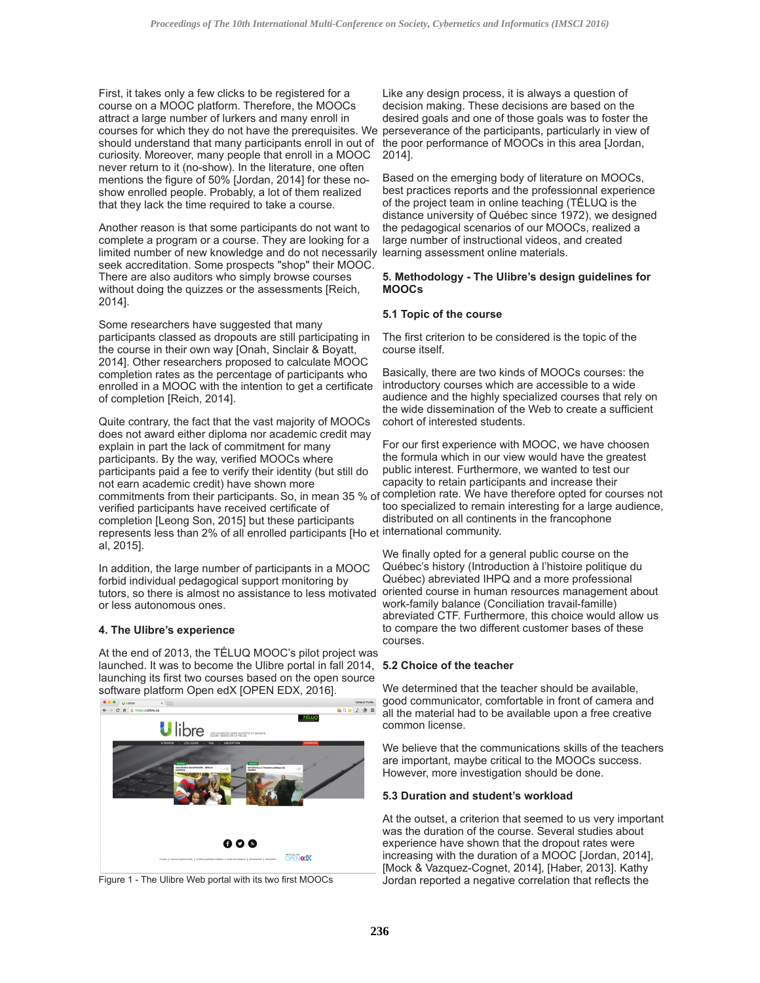First, it takes only a few clicks to be registered for a course on a MOOC platform. Therefore, the MOOCs attract a large number of lurkers and many enroll in courses for which they do not have the prerequisites. We perseverance of the participants, particularly in view of should understand that many participants enroll in out of the poor performance of MOOCs in this area [Jordan, curiosity. Moreover, many people that enroll in a MOOC never return to it (no-show). In the literature, one often mentions the figure of 50% [Jordan, 2014] for these noshow enrolled people. Probably, a lot of them realized that they lack the time required to take a course.

Another reason is that some participants do not want to complete a program or a course. They are looking for a limited number of new knowledge and do not necessarily seek accreditation. Some prospects "shop" their MOOC. There are also auditors who simply browse courses without doing the quizzes or the assessments [Reich, 2014].

Some researchers have suggested that many participants classed as dropouts are still participating in the course in their own way [Onah, Sinclair & Boyatt, 2014]. Other researchers proposed to calculate MOOC completion rates as the percentage of participants who enrolled in a MOOC with the intention to get a certificate of completion [Reich, 2014].

Quite contrary, the fact that the vast majority of MOOCs does not award either diploma nor academic credit may explain in part the lack of commitment for many participants. By the way, verified MOOCs where participants paid a fee to verify their identity (but still do not earn academic credit) have shown more verified participants have received certificate of completion [Leong Son, 2015] but these participants represents less than 2% of all enrolled participants [Ho et international community. al, 2015].

In addition, the large number of participants in a MOOC forbid individual pedagogical support monitoring by tutors, so there is almost no assistance to less motivated or less autonomous ones.

#### 4. The Ulibre's experience

At the end of 2013, the TÉLUQ MOOC's pilot project was launched. It was to become the Ulibre portal in fall 2014. 5.2 Choice of the teacher launching its first two courses based on the open source software platform Open edX [OPEN EDX, 2016].





Like any design process, it is always a question of decision making. These decisions are based on the desired goals and one of those goals was to foster the 20141.

Based on the emerging body of literature on MOOCs, best practices reports and the professionnal experience of the project team in online teaching (TÉLUQ is the distance university of Québec since 1972), we designed the pedagogical scenarios of our MOOCs, realized a large number of instructional videos, and created learning assessment online materials.

#### 5. Methodology - The Ulibre's design guidelines for **MOOCs**

### 5.1 Topic of the course

The first criterion to be considered is the topic of the course itself.

Basically, there are two kinds of MOOCs courses: the introductory courses which are accessible to a wide audience and the highly specialized courses that rely on the wide dissemination of the Web to create a sufficient cohort of interested students.

For our first experience with MOOC, we have choosen the formula which in our view would have the greatest public interest. Furthermore, we wanted to test our capacity to retain participants and increase their commitments from their participants. So, in mean 35 % of completion rate. We have therefore opted for courses not too specialized to remain interesting for a large audience, distributed on all continents in the francophone

> We finally opted for a general public course on the Québec's history (Introduction à l'histoire politique du Québec) abreviated IHPQ and a more professional oriented course in human resources management about work-family balance (Conciliation travail-famille) abreviated CTF. Furthermore, this choice would allow us to compare the two different customer bases of these courses.

We determined that the teacher should be available. good communicator, comfortable in front of camera and all the material had to be available upon a free creative common license.

We believe that the communications skills of the teachers are important, maybe critical to the MOOCs success. However, more investigation should be done.

#### 5.3 Duration and student's workload

At the outset, a criterion that seemed to us very important was the duration of the course. Several studies about experience have shown that the dropout rates were increasing with the duration of a MOOC [Jordan, 2014]. [Mock & Vazquez-Cognet, 2014], [Haber, 2013]. Kathy Jordan reported a negative correlation that reflects the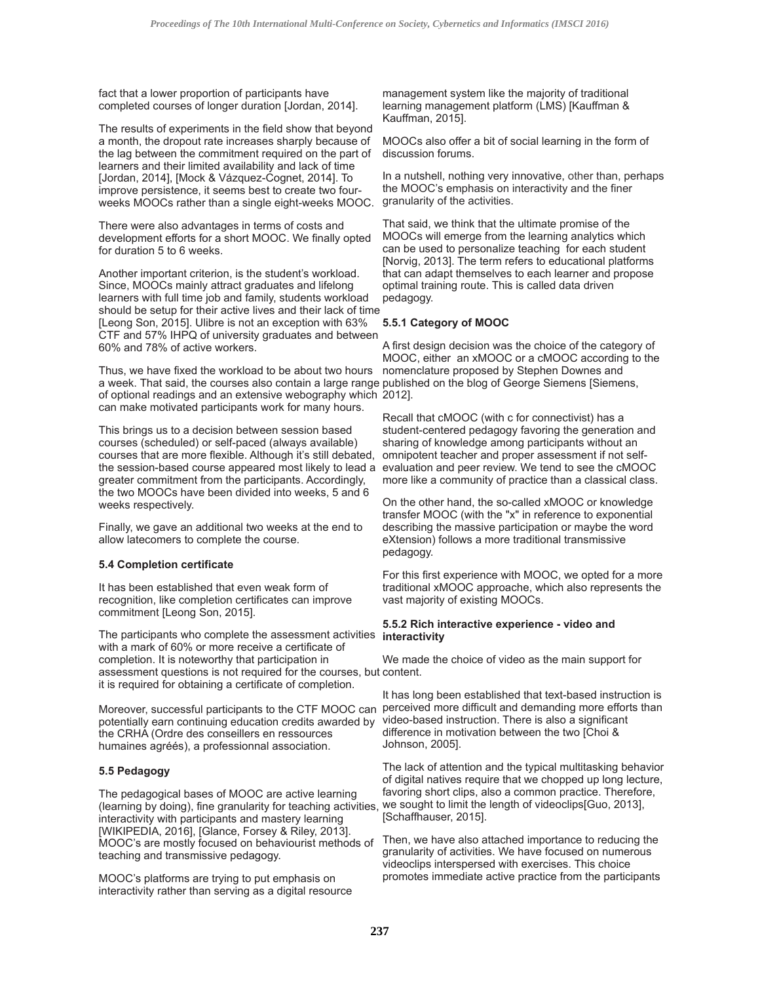fact that a lower proportion of participants have completed courses of longer duration [Jordan, 2014].

The results of experiments in the field show that beyond a month, the dropout rate increases sharply because of the lag between the commitment required on the part of learners and their limited availability and lack of time [Jordan, 2014], [Mock & Vázquez-Cognet, 2014]. To improve persistence, it seems best to create two fourweeks MOOCs rather than a single eight-weeks MOOC.

There were also advantages in terms of costs and development efforts for a short MOOC. We finally opted for duration 5 to 6 weeks.

Another important criterion, is the student's workload. Since, MOOCs mainly attract graduates and lifelong learners with full time job and family, students workload should be setup for their active lives and their lack of time [Leong Son, 2015]. Ulibre is not an exception with 63% CTF and 57% IHPQ of university graduates and between 60% and 78% of active workers.

Thus, we have fixed the workload to be about two hours a week. That said, the courses also contain a large range published on the blog of George Siemens [Siemens, of optional readings and an extensive webography which 2012]. can make motivated participants work for many hours.

This brings us to a decision between session based courses (scheduled) or self-paced (always available) courses that are more flexible. Although it's still debated, the session-based course appeared most likely to lead a evaluation and peer review. We tend to see the cMOOC greater commitment from the participants. Accordingly, the two MOOCs have been divided into weeks, 5 and 6 weeks respectively.

Finally, we gave an additional two weeks at the end to allow latecomers to complete the course.

#### **5.4 Completion certificate**

It has been established that even weak form of recognition, like completion certificates can improve commitment [Leong Son, 2015].

The participants who complete the assessment activities interactivity with a mark of 60% or more receive a certificate of completion. It is noteworthy that participation in assessment questions is not required for the courses, but content. it is required for obtaining a certificate of completion.

Moreover, successful participants to the CTF MOOC can potentially earn continuing education credits awarded by the CRHA (Ordre des conseillers en ressources humaines agréés), a professionnal association.

# **5.5 Pedagogy**

The pedagogical bases of MOOC are active learning (learning by doing), fine granularity for teaching activities, we sought to limit the length of videoclips[Guo, 2013], interactivity with participants and mastery learning [WIKIPEDIA, 2016], [Glance, Forsey & Riley, 2013]. MOOC's are mostly focused on behaviourist methods of teaching and transmissive pedagogy.

MOOC's platforms are trying to put emphasis on interactivity rather than serving as a digital resource

management system like the majority of traditional learning management platform (LMS) [Kauffman & Kauffman, 2015].

MOOCs also offer a bit of social learning in the form of discussion forums.

In a nutshell, nothing very innovative, other than, perhaps the MOOC's emphasis on interactivity and the finer granularity of the activities.

That said, we think that the ultimate promise of the MOOCs will emerge from the learning analytics which can be used to personalize teaching for each student [Norvig, 2013]. The term refers to educational platforms that can adapt themselves to each learner and propose optimal training route. This is called data driven pedagogy.

# 5.5.1 Category of MOOC

A first design decision was the choice of the category of MOOC, either an xMOOC or a cMOOC according to the nomenclature proposed by Stephen Downes and

Recall that cMOOC (with c for connectivist) has a student-centered pedagogy favoring the generation and sharing of knowledge among participants without an omnipotent teacher and proper assessment if not selfmore like a community of practice than a classical class.

On the other hand, the so-called xMOOC or knowledge transfer MOOC (with the "x" in reference to exponential describing the massive participation or maybe the word eXtension) follows a more traditional transmissive pedagogy.

For this first experience with MOOC, we opted for a more traditional xMOOC approache, which also represents the vast majority of existing MOOCs.

# 5.5.2 Rich interactive experience - video and

We made the choice of video as the main support for

It has long been established that text-based instruction is perceived more difficult and demanding more efforts than video-based instruction. There is also a significant difference in motivation between the two [Choi & Johnson, 2005].

The lack of attention and the typical multitasking behavior of digital natives require that we chopped up long lecture, favoring short clips, also a common practice. Therefore, [Schaffhauser, 2015].

Then, we have also attached importance to reducing the granularity of activities. We have focused on numerous videoclips interspersed with exercises. This choice promotes immediate active practice from the participants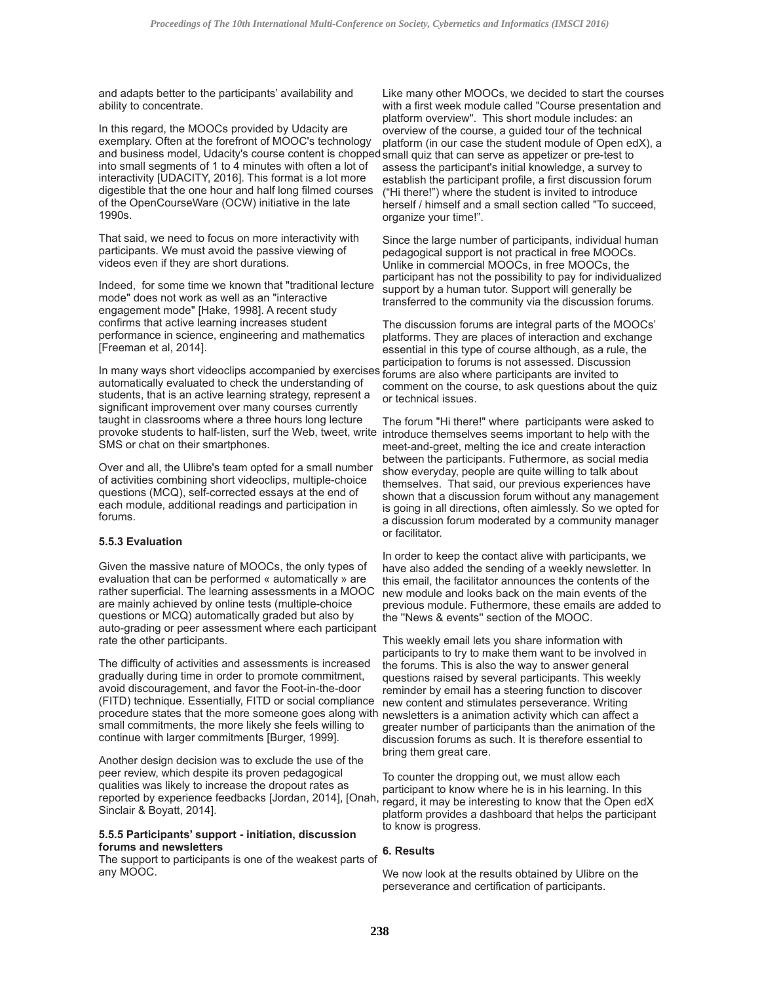and adapts better to the participants' availability and ability to concentrate.

In this regard, the MOOCs provided by Udacity are exemplary. Often at the forefront of MOOC's technology and business model, Udacity's course content is chopped small quiz that can serve as appetizer or pre-test to into small segments of 1 to 4 minutes with often a lot of interactivity [UDACITY, 2016]. This format is a lot more digestible that the one hour and half long filmed courses of the OpenCourseWare (OCW) initiative in the late 1990s.

That said, we need to focus on more interactivity with participants. We must avoid the passive viewing of videos even if they are short durations.

Indeed. for some time we known that "traditional lecture mode" does not work as well as an "interactive engagement mode" [Hake, 1998]. A recent study confirms that active learning increases student performance in science, engineering and mathematics [Freeman et al, 2014].

In many ways short videoclips accompanied by exercises automatically evaluated to check the understanding of students, that is an active learning strategy, represent a significant improvement over many courses currently taught in classrooms where a three hours long lecture provoke students to half-listen, surf the Web, tweet, write SMS or chat on their smartphones.

Over and all, the Ulibre's team opted for a small number of activities combining short videoclips, multiple-choice questions (MCQ), self-corrected essays at the end of each module, additional readings and participation in forums.

#### 5.5.3 Evaluation

Given the massive nature of MOOCs, the only types of evaluation that can be performed « automatically » are rather superficial. The learning assessments in a MOOC are mainly achieved by online tests (multiple-choice questions or MCQ) automatically graded but also by auto-grading or peer assessment where each participant rate the other participants.

The difficulty of activities and assessments is increased gradually during time in order to promote commitment, avoid discouragement, and favor the Foot-in-the-door (FITD) technique. Essentially, FITD or social compliance procedure states that the more someone goes along with small commitments, the more likely she feels willing to continue with larger commitments [Burger, 1999].

Another design decision was to exclude the use of the peer review, which despite its proven pedagogical qualities was likely to increase the dropout rates as reported by experience feedbacks [Jordan, 2014], [Onah, Sinclair & Boyatt, 2014].

### 5.5.5 Participants' support - initiation, discussion forums and newsletters

The support to participants is one of the weakest parts of any MOOC.

Like many other MOOCs, we decided to start the courses with a first week module called "Course presentation and platform overview". This short module includes: an overview of the course, a guided tour of the technical platform (in our case the student module of Open edX), a assess the participant's initial knowledge, a survey to establish the participant profile, a first discussion forum ("Hi there!") where the student is invited to introduce herself / himself and a small section called "To succeed, organize your time!".

Since the large number of participants, individual human pedagogical support is not practical in free MOOCs. Unlike in commercial MOOCs, in free MOOCs, the participant has not the possibility to pay for individualized support by a human tutor. Support will generally be transferred to the community via the discussion forums.

The discussion forums are integral parts of the MOOCs' platforms. They are places of interaction and exchange essential in this type of course although, as a rule, the participation to forums is not assessed. Discussion forums are also where participants are invited to comment on the course, to ask questions about the quiz or technical issues.

The forum "Hi there!" where participants were asked to introduce themselves seems important to help with the meet-and-greet, melting the ice and create interaction between the participants. Futhermore, as social media show everyday, people are quite willing to talk about themselves. That said, our previous experiences have shown that a discussion forum without any management is going in all directions, often aimlessly. So we opted for a discussion forum moderated by a community manager or facilitator.

In order to keep the contact alive with participants, we have also added the sending of a weekly newsletter. In this email, the facilitator announces the contents of the new module and looks back on the main events of the previous module. Futhermore, these emails are added to the "News & events" section of the MOOC.

This weekly email lets you share information with participants to try to make them want to be involved in the forums. This is also the way to answer general questions raised by several participants. This weekly reminder by email has a steering function to discover new content and stimulates perseverance. Writing newsletters is a animation activity which can affect a greater number of participants than the animation of the discussion forums as such. It is therefore essential to bring them great care.

To counter the dropping out, we must allow each participant to know where he is in his learning. In this regard, it may be interesting to know that the Open edX platform provides a dashboard that helps the participant to know is progress.

# 6. Results

We now look at the results obtained by Ulibre on the perseverance and certification of participants.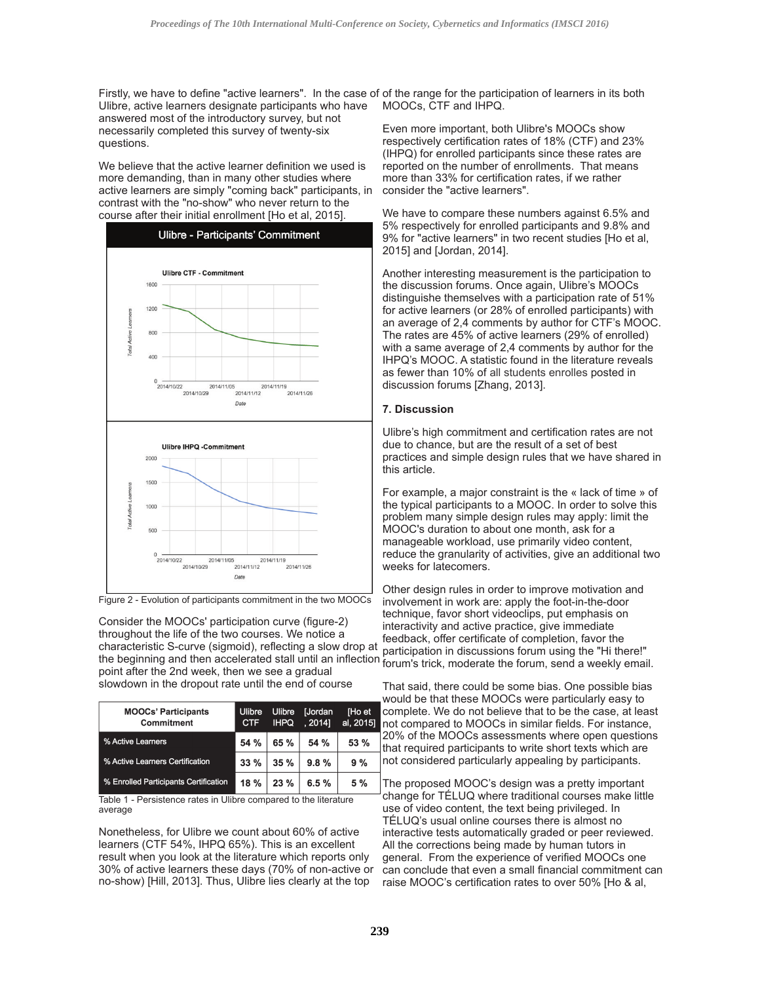Firstly, we have to define "active learners". In the case of of the range for the participation of learners in its both Ulibre, active learners designate participants who have answered most of the introductory survey, but not necessarily completed this survey of twenty-six questions.

We believe that the active learner definition we used is more demanding, than in many other studies where active learners are simply "coming back" participants, in<br>contrast with the "no-show" who never return to the course after their initial enrollment [Ho et al, 2015].



Figure 2 - Evolution of participants commitment in the two MOOCs

Consider the MOOCs' participation curve (figure-2) throughout the life of the two courses. We notice a characteristic S-curve (sigmoid), reflecting a slow drop at the beginning and then accelerated stall until an inflection forum's trick, moderate the forum, send a weekly email. point after the 2nd week, then we see a gradual

slowdown in the dropout rate until the end of course

| <b>MOOCs' Participants</b><br>Commitment | <b>Ulibre</b><br><b>CTF</b> | <b>Ulibre</b><br><b>IHPQ</b> | <b>Jordan</b><br>.20141 | <b>IHo et</b><br>al, 2015] |
|------------------------------------------|-----------------------------|------------------------------|-------------------------|----------------------------|
| % Active Learners                        | 54 %                        | 65 %                         | 54 %                    | 53 %                       |
| % Active Learners Certification          | $33\%$                      | 35%                          | 9.8%                    | 9%                         |
| % Enrolled Participants Certification    | 18 %                        | 23%                          | 6.5%                    | 5%                         |

Table 1 - Persistence rates in Ulibre compared to the literature average

Nonetheless, for Ulibre we count about 60% of active learners (CTF 54%, IHPQ 65%). This is an excellent result when you look at the literature which reports only 30% of active learners these days (70% of non-active or no-show) [Hill, 2013]. Thus, Ulibre lies clearly at the top

MOOCs, CTF and IHPQ.

Even more important, both Ulibre's MOOCs show respectively certification rates of 18% (CTF) and 23% (IHPQ) for enrolled participants since these rates are reported on the number of enrollments. That means more than 33% for certification rates, if we rather consider the "active learners".

We have to compare these numbers against 6.5% and 5% respectively for enrolled participants and 9.8% and 9% for "active learners" in two recent studies [Ho et al, 2015] and [Jordan, 2014].

Another interesting measurement is the participation to the discussion forums. Once again, Ulibre's MOOCs distinguishe themselves with a participation rate of 51% for active learners (or 28% of enrolled participants) with an average of 2,4 comments by author for CTF's MOOC. The rates are 45% of active learners (29% of enrolled) with a same average of 2.4 comments by author for the IHPQ's MOOC. A statistic found in the literature reveals as fewer than 10% of all students enrolles posted in discussion forums [Zhang, 2013].

### 7. Discussion

Ulibre's high commitment and certification rates are not due to chance, but are the result of a set of best practices and simple design rules that we have shared in this article.

For example, a major constraint is the  $\kappa$  lack of time  $\kappa$  of the typical participants to a MOOC. In order to solve this problem many simple design rules may apply: limit the MOOC's duration to about one month, ask for a manageable workload, use primarily video content. reduce the granularity of activities, give an additional two weeks for latecomers.

Other design rules in order to improve motivation and involvement in work are: apply the foot-in-the-door technique, favor short videoclips, put emphasis on interactivity and active practice, give immediate feedback, offer certificate of completion, favor the participation in discussions forum using the "Hi there!"

That said, there could be some bias. One possible bias would be that these MOOCs were particularly easy to complete. We do not believe that to be the case, at least not compared to MOOCs in similar fields. For instance, 20% of the MOOCs assessments where open questions that required participants to write short texts which are not considered particularly appealing by participants.

The proposed MOOC's design was a pretty important change for TÉLUQ where traditional courses make little use of video content, the text being privileged. In TÉLUQ's usual online courses there is almost no interactive tests automatically graded or peer reviewed. All the corrections being made by human tutors in general. From the experience of verified MOOCs one can conclude that even a small financial commitment can raise MOOC's certification rates to over 50% [Ho & al,